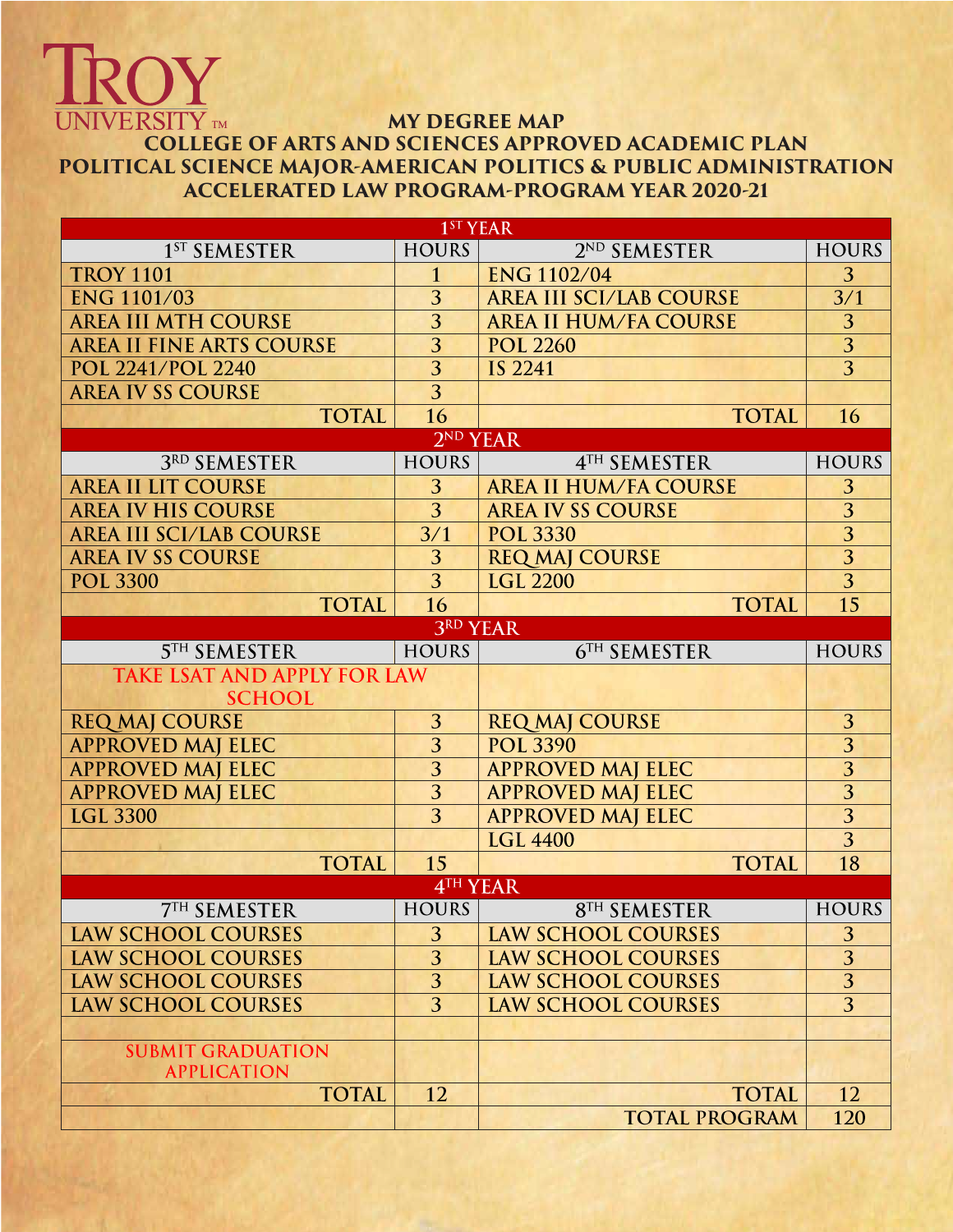## **MY DEGREE MAP**

OY

## **UNIVERSITY** TM **COLLEGE OF ARTS AND SCIENCES APPROVED ACADEMIC PLAN POLITICAL SCIENCE MAJOR-AMERICAN POLITICS & PUBLIC ADMINISTRATION ACCELERATED LAW PROGRAM-PROGRAM YEAR 2020-21**

| $1ST$ YEAR                         |                      |                                |                |  |  |  |  |
|------------------------------------|----------------------|--------------------------------|----------------|--|--|--|--|
| 1 <sup>ST</sup> SEMESTER           | <b>HOURS</b>         | 2 <sup>ND</sup> SEMESTER       | <b>HOURS</b>   |  |  |  |  |
| <b>TROY 1101</b>                   | $\mathbf{1}$         | <b>ENG 1102/04</b>             | 3              |  |  |  |  |
| <b>ENG 1101/03</b>                 | 3                    | <b>AREA III SCI/LAB COURSE</b> | 3/1            |  |  |  |  |
| <b>AREA III MTH COURSE</b>         | $\overline{3}$       | <b>AREA II HUM/FA COURSE</b>   | 3              |  |  |  |  |
| <b>AREA II FINE ARTS COURSE</b>    | 3                    | <b>POL 2260</b>                | $\overline{3}$ |  |  |  |  |
| POL 2241/POL 2240                  | $\overline{3}$       | <b>IS 2241</b>                 | $\overline{3}$ |  |  |  |  |
| <b>AREA IV SS COURSE</b>           | 3                    |                                |                |  |  |  |  |
| <b>TOTAL</b>                       | 16                   | <b>TOTAL</b>                   | 16             |  |  |  |  |
|                                    | 2 <sup>ND</sup> YEAR |                                |                |  |  |  |  |
| 3RD SEMESTER                       | <b>HOURS</b>         | 4TH SEMESTER                   | <b>HOURS</b>   |  |  |  |  |
| <b>AREA II LIT COURSE</b>          | 3                    | <b>AREA II HUM/FA COURSE</b>   | 3              |  |  |  |  |
| <b>AREA IV HIS COURSE</b>          | $\overline{3}$       | <b>AREA IV SS COURSE</b>       | $\overline{3}$ |  |  |  |  |
| <b>AREA III SCI/LAB COURSE</b>     | 3/1                  | <b>POL 3330</b>                | $\overline{3}$ |  |  |  |  |
| <b>AREA IV SS COURSE</b>           | 3                    | <b>REQ MAJ COURSE</b>          | $\overline{3}$ |  |  |  |  |
| <b>POL 3300</b>                    | 3                    | <b>LGL 2200</b>                | $\overline{3}$ |  |  |  |  |
| <b>TOTAL</b>                       | 16                   | <b>TOTAL</b>                   | 15             |  |  |  |  |
|                                    | <b>3RD YEAR</b>      |                                |                |  |  |  |  |
| <b>5TH SEMESTER</b>                | <b>HOURS</b>         | 6TH SEMESTER                   | <b>HOURS</b>   |  |  |  |  |
| <b>TAKE LSAT AND APPLY FOR LAW</b> |                      |                                |                |  |  |  |  |
| <b>SCHOOL</b>                      |                      |                                |                |  |  |  |  |
| <b>REQ MAJ COURSE</b>              | 3                    | <b>REQ MAJ COURSE</b>          | 3              |  |  |  |  |
| <b>APPROVED MAJ ELEC</b>           | 3                    | <b>POL 3390</b>                | $\overline{3}$ |  |  |  |  |
| <b>APPROVED MAJ ELEC</b>           | 3                    | <b>APPROVED MAJ ELEC</b>       | $\overline{3}$ |  |  |  |  |
| <b>APPROVED MAJ ELEC</b>           | 3                    | <b>APPROVED MAJ ELEC</b>       | $\overline{3}$ |  |  |  |  |
| <b>LGL 3300</b>                    | $\overline{3}$       | <b>APPROVED MAJ ELEC</b>       | $\overline{3}$ |  |  |  |  |
|                                    |                      | <b>LGL 4400</b>                | $\overline{3}$ |  |  |  |  |
| <b>TOTAL</b>                       | 15                   | <b>TOTAL</b>                   | 18             |  |  |  |  |
| 4TH YEAR                           |                      |                                |                |  |  |  |  |
| <b>7TH SEMESTER</b>                | <b>HOURS</b>         | <b>8TH SEMESTER</b>            | <b>HOURS</b>   |  |  |  |  |
| <b>LAW SCHOOL COURSES</b>          | 3                    | <b>LAW SCHOOL COURSES</b>      | 3              |  |  |  |  |
| <b>LAW SCHOOL COURSES</b>          | $\overline{3}$       | <b>LAW SCHOOL COURSES</b>      | $\overline{3}$ |  |  |  |  |
| <b>LAW SCHOOL COURSES</b>          | 3                    | <b>LAW SCHOOL COURSES</b>      | 3              |  |  |  |  |
| <b>LAW SCHOOL COURSES</b>          | 3                    | <b>LAW SCHOOL COURSES</b>      | $\overline{3}$ |  |  |  |  |
|                                    |                      |                                |                |  |  |  |  |
| <b>SUBMIT GRADUATION</b>           |                      |                                |                |  |  |  |  |
| <b>APPLICATION</b>                 |                      |                                |                |  |  |  |  |
| <b>TOTAL</b>                       | 12                   | <b>TOTAL</b>                   | 12             |  |  |  |  |
|                                    |                      | <b>TOTAL PROGRAM</b>           | 120            |  |  |  |  |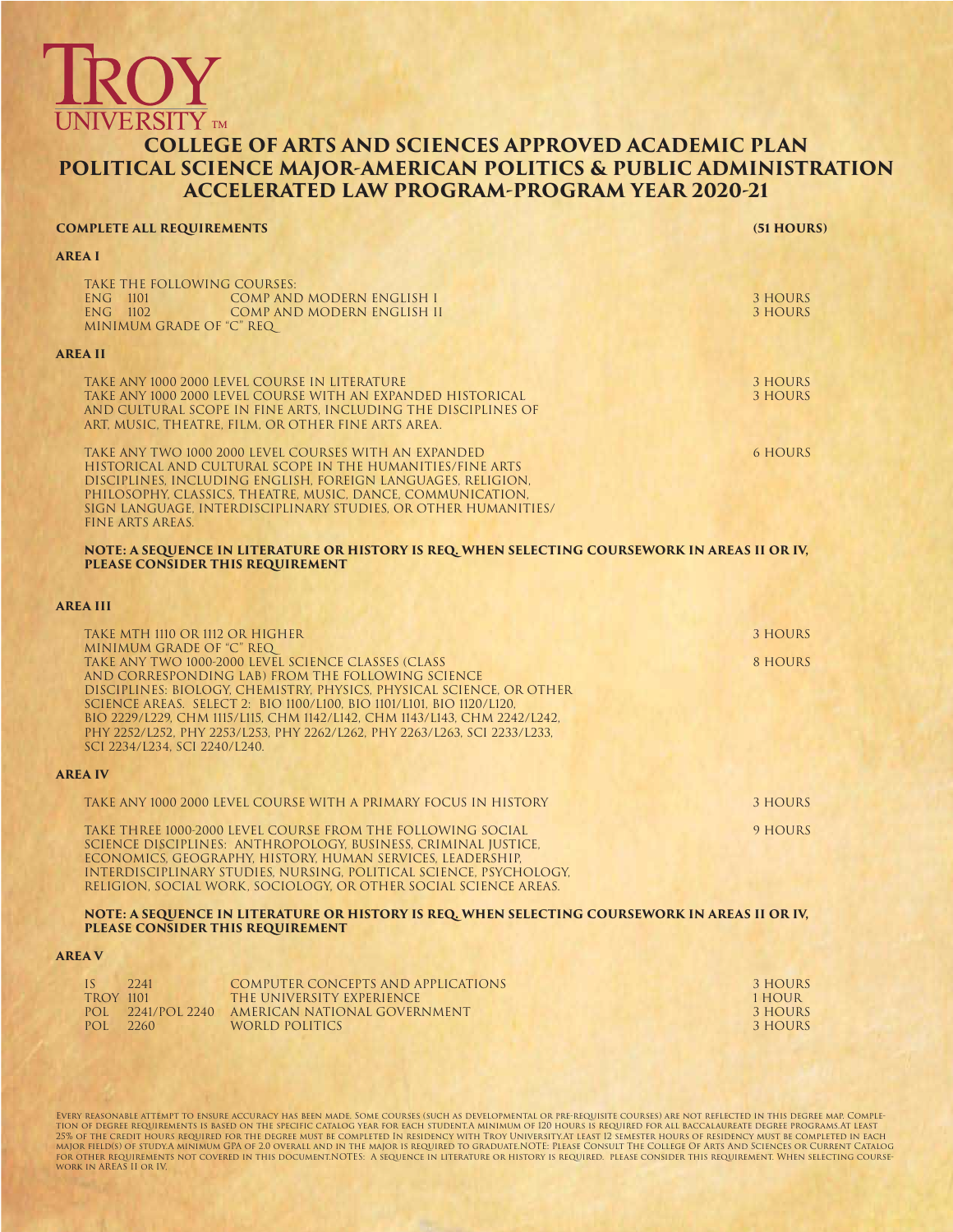# VIVERSITY  $_{\text{\tiny TM}}$

#### **COLLEGE OF ARTS AND SCIENCES APPROVED ACADEMIC PLAN POLITICAL SCIENCE MAJOR-AMERICAN POLITICS & PUBLIC ADMINISTRATION ACCELERATED LAW PROGRAM-PROGRAM YEAR 2020-21**

| <b>COMPLETE ALL REQUIREMENTS</b>                                                                                                                                                                                                                                                                                                                                                                                                                                                   | (51 HOURS)                          |
|------------------------------------------------------------------------------------------------------------------------------------------------------------------------------------------------------------------------------------------------------------------------------------------------------------------------------------------------------------------------------------------------------------------------------------------------------------------------------------|-------------------------------------|
| AREA I                                                                                                                                                                                                                                                                                                                                                                                                                                                                             |                                     |
| TAKE THE FOLLOWING COURSES:<br>ENG 1101<br><b>COMP AND MODERN ENGLISH I</b><br>ENG 1102<br>COMP AND MODERN ENGLISH II<br>MINIMUM GRADE OF "C" REQ                                                                                                                                                                                                                                                                                                                                  | 3 HOURS<br>3 HOURS                  |
| <b>AREA II</b>                                                                                                                                                                                                                                                                                                                                                                                                                                                                     |                                     |
| TAKE ANY 1000 2000 LEVEL COURSE IN LITERATURE<br>TAKE ANY 1000 2000 LEVEL COURSE WITH AN EXPANDED HISTORICAL<br>AND CULTURAL SCOPE IN FINE ARTS, INCLUDING THE DISCIPLINES OF<br>ART, MUSIC, THEATRE, FILM, OR OTHER FINE ARTS AREA.                                                                                                                                                                                                                                               | 3 HOURS<br><b>3 HOURS</b>           |
| TAKE ANY TWO 1000 2000 LEVEL COURSES WITH AN EXPANDED<br>HISTORICAL AND CULTURAL SCOPE IN THE HUMANITIES/FINE ARTS<br>DISCIPLINES, INCLUDING ENGLISH, FOREIGN LANGUAGES, RELIGION,<br>PHILOSOPHY, CLASSICS, THEATRE, MUSIC, DANCE, COMMUNICATION,<br>SIGN LANGUAGE, INTERDISCIPLINARY STUDIES, OR OTHER HUMANITIES/<br><b>FINE ARTS AREAS.</b>                                                                                                                                     | <b>6 HOURS</b>                      |
| NOTE: A SEQUENCE IN LITERATURE OR HISTORY IS REQ. WHEN SELECTING COURSEWORK IN AREAS II OR IV,<br>PLEASE CONSIDER THIS REQUIREMENT                                                                                                                                                                                                                                                                                                                                                 |                                     |
| <b>AREA III</b>                                                                                                                                                                                                                                                                                                                                                                                                                                                                    |                                     |
| TAKE MTH 1110 OR 1112 OR HIGHER                                                                                                                                                                                                                                                                                                                                                                                                                                                    | 3 HOURS                             |
| MINIMUM GRADE OF "C" REQ<br>TAKE ANY TWO 1000-2000 LEVEL SCIENCE CLASSES (CLASS<br>AND CORRESPONDING LAB) FROM THE FOLLOWING SCIENCE<br>DISCIPLINES: BIOLOGY, CHEMISTRY, PHYSICS, PHYSICAL SCIENCE, OR OTHER<br>SCIENCE AREAS. SELECT 2: BIO 1100/L100, BIO 1101/L101, BIO 1120/L120,<br>BIO 2229/L229, CHM 1115/L115, CHM 1142/L142, CHM 1143/L143, CHM 2242/L242,<br>PHY 2252/L252, PHY 2253/L253, PHY 2262/L262, PHY 2263/L263, SCI 2233/L233,<br>SCI 2234/L234, SCI 2240/L240. | 8 HOURS                             |
| <b>AREA IV</b>                                                                                                                                                                                                                                                                                                                                                                                                                                                                     |                                     |
| TAKE ANY 1000 2000 LEVEL COURSE WITH A PRIMARY FOCUS IN HISTORY                                                                                                                                                                                                                                                                                                                                                                                                                    | 3 HOURS                             |
| TAKE THREE 1000-2000 LEVEL COURSE FROM THE FOLLOWING SOCIAL<br>SCIENCE DISCIPLINES: ANTHROPOLOGY, BUSINESS, CRIMINAL JUSTICE,<br>ECONOMICS, GEOGRAPHY, HISTORY, HUMAN SERVICES, LEADERSHIP,<br>INTERDISCIPLINARY STUDIES, NURSING, POLITICAL SCIENCE, PSYCHOLOGY,<br>RELIGION, SOCIAL WORK, SOCIOLOGY, OR OTHER SOCIAL SCIENCE AREAS.                                                                                                                                              | 9 HOURS                             |
| NOTE: A SEQUENCE IN LITERATURE OR HISTORY IS REQ. WHEN SELECTING COURSEWORK IN AREAS II OR IV,<br>PLEASE CONSIDER THIS REQUIREMENT                                                                                                                                                                                                                                                                                                                                                 |                                     |
| <b>AREA V</b>                                                                                                                                                                                                                                                                                                                                                                                                                                                                      |                                     |
| IS<br>2241<br><b>COMPUTER CONCEPTS AND APPLICATIONS</b><br><b>TROY 1101</b><br>THE UNIVERSITY EXPERIENCE<br>POL 2241/POL 2240 AMERICAN NATIONAL GOVERNMENT                                                                                                                                                                                                                                                                                                                         | 3 HOURS<br>1 HOUR<br><b>3 HOURS</b> |

EVERY REASONABLE ATTEMPT TO ENSURE ACCURACY HAS BEEN MADE. SOME COURSES (SUCH AS DEVELOPMENTAL OR PRE-REQUISED SOME COURSES) ARE NOT REFLECTED IN THIS DEGREE MAP. COMPLE-<br>TION OF DEGREE REQUREMENTS IS BASED ON THE SPECIFIC

POL 2241/POL 2240 AMERICAN NATIONAL GOVERNMENT 3 HOURS<br>POL 2260 WORLD POLITICS 3 HOURS

WORLD POLITICS